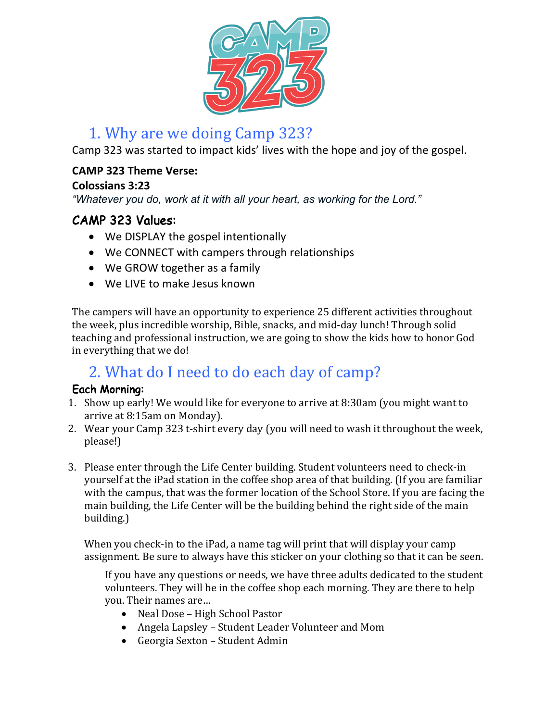

# 1. Why are we doing Camp 323?

Camp 323 was started to impact kids' lives with the hope and joy of the gospel.

### **CAMP 323 Theme Verse:**

### **Colossians 3:23**

*"Whatever you do, work at it with all your heart, as working for the Lord."*

## CAMP 323 Values:

- We DISPLAY the gospel intentionally
- We CONNECT with campers through relationships
- We GROW together as a family
- We LIVE to make Jesus known

The campers will have an opportunity to experience 25 different activities throughout the week, plus incredible worship, Bible, snacks, and mid-day lunch! Through solid teaching and professional instruction, we are going to show the kids how to honor God in everything that we do!

# 2. What do I need to do each day of camp?

### Each Morning:

- 1. Show up early! We would like for everyone to arrive at 8:30am (you might want to arrive at 8:15am on Monday).
- 2. Wear your Camp 323 t-shirt every day (you will need to wash it throughout the week, please!)
- 3. Please enter through the Life Center building. Student volunteers need to check-in yourself at the iPad station in the coffee shop area of that building. (If you are familiar with the campus, that was the former location of the School Store. If you are facing the main building, the Life Center will be the building behind the right side of the main building.)

When you check-in to the iPad, a name tag will print that will display your camp assignment. Be sure to always have this sticker on your clothing so that it can be seen.

If you have any questions or needs, we have three adults dedicated to the student volunteers. They will be in the coffee shop each morning. They are there to help you. Their names are...

- Neal Dose High School Pastor
- Angela Lapsley Student Leader Volunteer and Mom
- Georgia Sexton Student Admin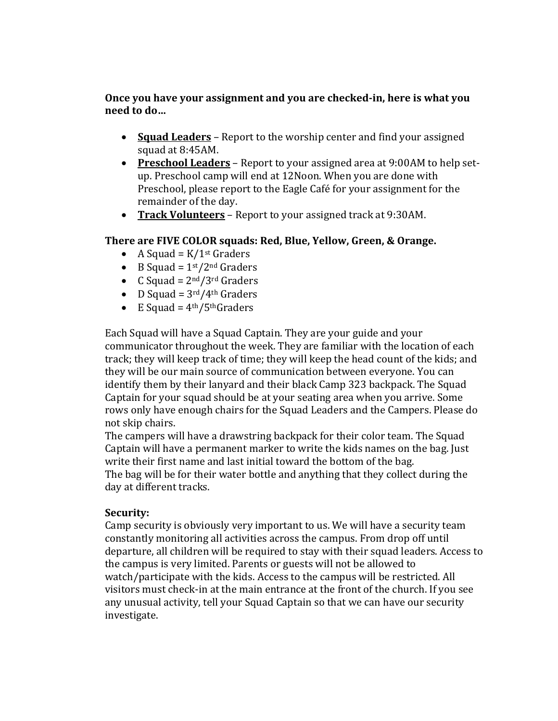**Once you have your assignment and you are checked-in, here is what you need to do…**

- **Squad Leaders** Report to the worship center and find your assigned squad at 8:45AM.
- **Preschool Leaders** Report to your assigned area at 9:00AM to help setup. Preschool camp will end at 12Noon. When you are done with Preschool, please report to the Eagle Café for your assignment for the remainder of the day.
- Track Volunteers Report to your assigned track at 9:30AM.

#### There are FIVE COLOR squads: Red, Blue, Yellow, Green, & Orange.

- A Squad =  $K/1^{st}$  Graders
- B Squad =  $1<sup>st</sup>/2<sup>nd</sup>$  Graders
- C Squad =  $2<sup>nd</sup>/3<sup>rd</sup>$  Graders
- D Squad =  $3<sup>rd</sup>/4<sup>th</sup>$  Graders
- E Squad =  $4<sup>th</sup>/5<sup>th</sup>Graders$

Each Squad will have a Squad Captain. They are your guide and your communicator throughout the week. They are familiar with the location of each track; they will keep track of time; they will keep the head count of the kids; and they will be our main source of communication between everyone. You can identify them by their lanyard and their black Camp 323 backpack. The Squad Captain for your squad should be at your seating area when you arrive. Some rows only have enough chairs for the Squad Leaders and the Campers. Please do not skip chairs.

The campers will have a drawstring backpack for their color team. The Squad Captain will have a permanent marker to write the kids names on the bag. Just write their first name and last initial toward the bottom of the bag.

The bag will be for their water bottle and anything that they collect during the day at different tracks.

#### **Security:**

Camp security is obviously very important to us. We will have a security team constantly monitoring all activities across the campus. From drop off until departure, all children will be required to stay with their squad leaders. Access to the campus is very limited. Parents or guests will not be allowed to watch/participate with the kids. Access to the campus will be restricted. All visitors must check-in at the main entrance at the front of the church. If you see any unusual activity, tell your Squad Captain so that we can have our security investigate.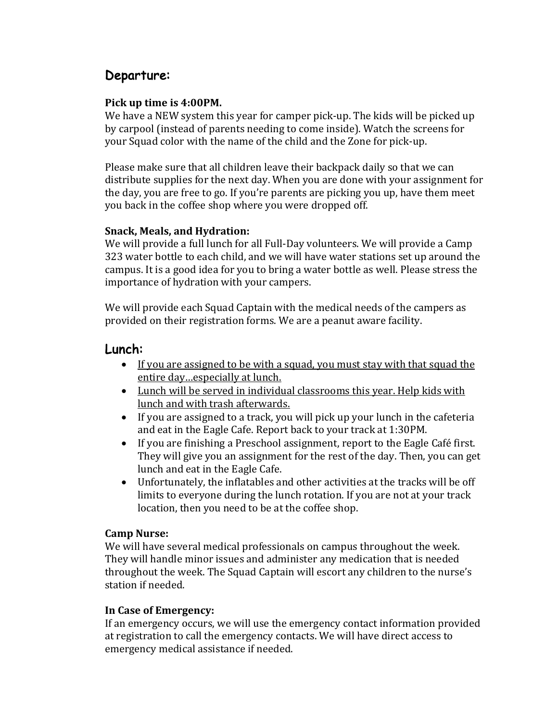## Departure:

#### **Pick up time is 4:00PM.**

We have a NEW system this year for camper pick-up. The kids will be picked up by carpool (instead of parents needing to come inside). Watch the screens for your Squad color with the name of the child and the Zone for pick-up.

Please make sure that all children leave their backpack daily so that we can distribute supplies for the next day. When you are done with your assignment for the day, you are free to go. If you're parents are picking you up, have them meet you back in the coffee shop where you were dropped off.

#### **Snack, Meals, and Hydration:**

We will provide a full lunch for all Full-Day volunteers. We will provide a Camp 323 water bottle to each child, and we will have water stations set up around the campus. It is a good idea for you to bring a water bottle as well. Please stress the importance of hydration with your campers.

We will provide each Squad Captain with the medical needs of the campers as provided on their registration forms. We are a peanut aware facility.

### Lunch:

- If you are assigned to be with a squad, you must stay with that squad the entire day...especially at lunch.
- Lunch will be served in individual classrooms this year. Help kids with lunch and with trash afterwards.
- If you are assigned to a track, you will pick up your lunch in the cafeteria and eat in the Eagle Cafe. Report back to your track at 1:30PM.
- If you are finishing a Preschool assignment, report to the Eagle Café first. They will give you an assignment for the rest of the day. Then, you can get lunch and eat in the Eagle Cafe.
- Unfortunately, the inflatables and other activities at the tracks will be off limits to everyone during the lunch rotation. If you are not at your track location, then you need to be at the coffee shop.

#### **Camp Nurse:**

We will have several medical professionals on campus throughout the week. They will handle minor issues and administer any medication that is needed throughout the week. The Squad Captain will escort any children to the nurse's station if needed.

#### **In Case of Emergency:**

If an emergency occurs, we will use the emergency contact information provided at registration to call the emergency contacts. We will have direct access to emergency medical assistance if needed.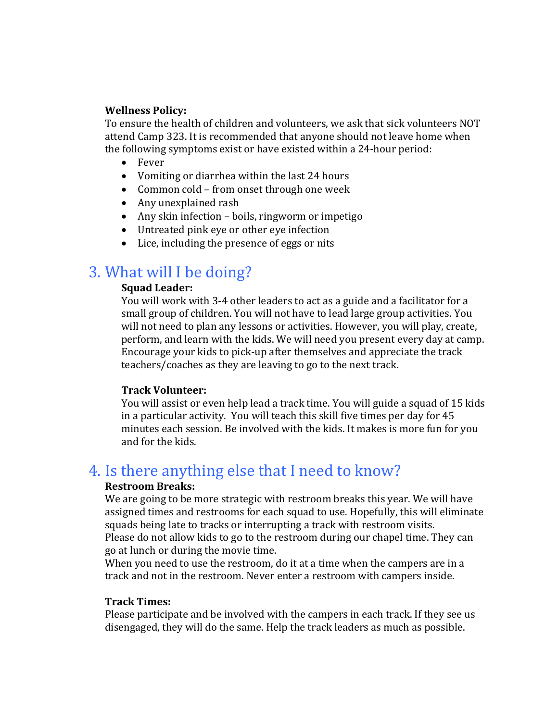#### **Wellness Policy:**

To ensure the health of children and volunteers, we ask that sick volunteers NOT attend Camp 323. It is recommended that anyone should not leave home when the following symptoms exist or have existed within a 24-hour period:

- Fever
- Vomiting or diarrhea within the last 24 hours
- Common cold from onset through one week
- Any unexplained rash
- Any skin infection boils, ringworm or impetigo
- Untreated pink eye or other eye infection
- Lice, including the presence of eggs or nits

## 3. What will I be doing?

#### **Squad Leader:**

You will work with 3-4 other leaders to act as a guide and a facilitator for a small group of children. You will not have to lead large group activities. You will not need to plan any lessons or activities. However, you will play, create, perform, and learn with the kids. We will need you present every day at camp. Encourage your kids to pick-up after themselves and appreciate the track teachers/coaches as they are leaving to go to the next track.

#### **Track Volunteer:**

You will assist or even help lead a track time. You will guide a squad of 15 kids in a particular activity. You will teach this skill five times per day for 45 minutes each session. Be involved with the kids. It makes is more fun for you and for the kids.

## 4. Is there anything else that I need to know?

#### **Restroom Breaks:**

We are going to be more strategic with restroom breaks this year. We will have assigned times and restrooms for each squad to use. Hopefully, this will eliminate squads being late to tracks or interrupting a track with restroom visits. Please do not allow kids to go to the restroom during our chapel time. They can go at lunch or during the movie time.

When you need to use the restroom, do it at a time when the campers are in a track and not in the restroom. Never enter a restroom with campers inside.

#### **Track Times:**

Please participate and be involved with the campers in each track. If they see us disengaged, they will do the same. Help the track leaders as much as possible.